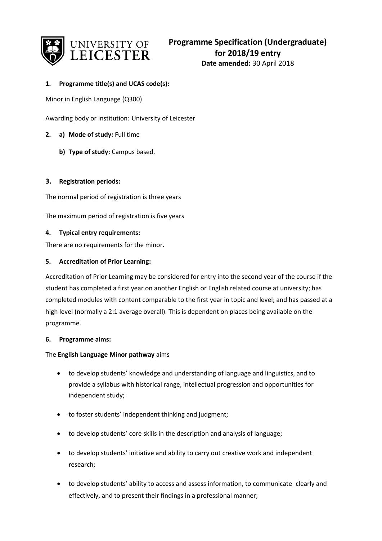

# **1. Programme title(s) and UCAS code(s):**

Minor in English Language (Q300)

Awarding body or institution: University of Leicester

- **2. a) Mode of study:** Full time
	- **b) Type of study:** Campus based.

## **3. Registration periods:**

The normal period of registration is three years

The maximum period of registration is five years

#### **4. Typical entry requirements:**

There are no requirements for the minor.

## **5. Accreditation of Prior Learning:**

Accreditation of Prior Learning may be considered for entry into the second year of the course if the student has completed a first year on another English or English related course at university; has completed modules with content comparable to the first year in topic and level; and has passed at a high level (normally a 2:1 average overall). This is dependent on places being available on the programme.

#### **6. Programme aims:**

#### The **English Language Minor pathway** aims

- to develop students' knowledge and understanding of language and linguistics, and to provide a syllabus with historical range, intellectual progression and opportunities for independent study;
- to foster students' independent thinking and judgment;
- to develop students' core skills in the description and analysis of language;
- to develop students' initiative and ability to carry out creative work and independent research;
- to develop students' ability to access and assess information, to communicate clearly and effectively, and to present their findings in a professional manner;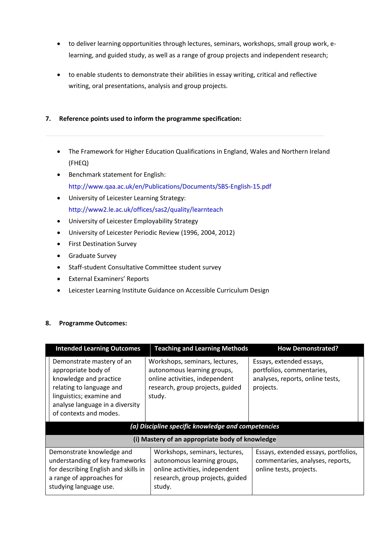- to deliver learning opportunities through lectures, seminars, workshops, small group work, elearning, and guided study, as well as a range of group projects and independent research;
- to enable students to demonstrate their abilities in essay writing, critical and reflective writing, oral presentations, analysis and group projects.

# **7. Reference points used to inform the programme specification:**

- The Framework for Higher Education Qualifications in England, Wales and Northern Ireland (FHEQ)
- Benchmark statement for English: http://www.qaa.ac.uk/en/Publications/Documents/SBS-English-15.pdf
- University of Leicester Learning Strategy: http://www2.le.ac.uk/offices/sas2/quality/learnteach
- University of Leicester Employability Strategy
- University of Leicester Periodic Review (1996, 2004, 2012)
- **•** First Destination Survey
- Graduate Survey
- Staff-student Consultative Committee student survey
- External Examiners' Reports
- Leicester Learning Institute Guidance on Accessible Curriculum Design

## **8. Programme Outcomes:**

| <b>Intended Learning Outcomes</b>                                                                                                                                                               | <b>Teaching and Learning Methods</b>                                                                                                          | <b>How Demonstrated?</b>                                                                               |  |
|-------------------------------------------------------------------------------------------------------------------------------------------------------------------------------------------------|-----------------------------------------------------------------------------------------------------------------------------------------------|--------------------------------------------------------------------------------------------------------|--|
| Demonstrate mastery of an<br>appropriate body of<br>knowledge and practice<br>relating to language and<br>linguistics; examine and<br>analyse language in a diversity<br>of contexts and modes. | Workshops, seminars, lectures,<br>autonomous learning groups,<br>online activities, independent<br>research, group projects, guided<br>study. | Essays, extended essays,<br>portfolios, commentaries,<br>analyses, reports, online tests,<br>projects. |  |
| (a) Discipline specific knowledge and competencies                                                                                                                                              |                                                                                                                                               |                                                                                                        |  |
| (i) Mastery of an appropriate body of knowledge                                                                                                                                                 |                                                                                                                                               |                                                                                                        |  |
| Demonstrate knowledge and<br>understanding of key frameworks<br>for describing English and skills in<br>a range of approaches for<br>studying language use.                                     | Workshops, seminars, lectures,<br>autonomous learning groups,<br>online activities, independent<br>research, group projects, guided<br>study. | Essays, extended essays, portfolios,<br>commentaries, analyses, reports,<br>online tests, projects.    |  |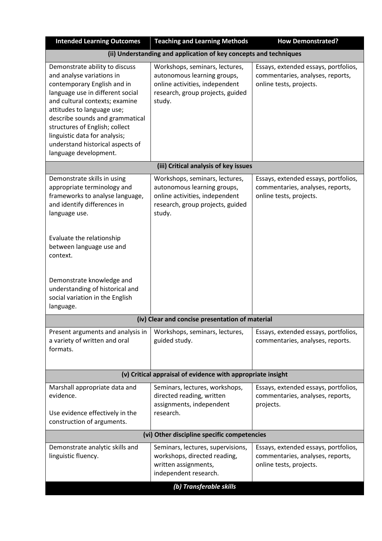| <b>Intended Learning Outcomes</b>                                                                                                                                                                                                                                                                                                                                 | <b>Teaching and Learning Methods</b>                                                                                                          | <b>How Demonstrated?</b>                                                                            |  |
|-------------------------------------------------------------------------------------------------------------------------------------------------------------------------------------------------------------------------------------------------------------------------------------------------------------------------------------------------------------------|-----------------------------------------------------------------------------------------------------------------------------------------------|-----------------------------------------------------------------------------------------------------|--|
|                                                                                                                                                                                                                                                                                                                                                                   | (ii) Understanding and application of key concepts and techniques                                                                             |                                                                                                     |  |
| Demonstrate ability to discuss<br>and analyse variations in<br>contemporary English and in<br>language use in different social<br>and cultural contexts; examine<br>attitudes to language use;<br>describe sounds and grammatical<br>structures of English; collect<br>linguistic data for analysis;<br>understand historical aspects of<br>language development. | Workshops, seminars, lectures,<br>autonomous learning groups,<br>online activities, independent<br>research, group projects, guided<br>study. | Essays, extended essays, portfolios,<br>commentaries, analyses, reports,<br>online tests, projects. |  |
|                                                                                                                                                                                                                                                                                                                                                                   | (iii) Critical analysis of key issues                                                                                                         |                                                                                                     |  |
| Demonstrate skills in using<br>appropriate terminology and<br>frameworks to analyse language,<br>and identify differences in<br>language use.                                                                                                                                                                                                                     | Workshops, seminars, lectures,<br>autonomous learning groups,<br>online activities, independent<br>research, group projects, guided<br>study. | Essays, extended essays, portfolios,<br>commentaries, analyses, reports,<br>online tests, projects. |  |
| Evaluate the relationship<br>between language use and<br>context.<br>Demonstrate knowledge and                                                                                                                                                                                                                                                                    |                                                                                                                                               |                                                                                                     |  |
| understanding of historical and<br>social variation in the English<br>language.                                                                                                                                                                                                                                                                                   |                                                                                                                                               |                                                                                                     |  |
| (iv) Clear and concise presentation of material                                                                                                                                                                                                                                                                                                                   |                                                                                                                                               |                                                                                                     |  |
| Present arguments and analysis in<br>a variety of written and oral<br>formats.                                                                                                                                                                                                                                                                                    | Workshops, seminars, lectures,<br>guided study.                                                                                               | Essays, extended essays, portfolios,<br>commentaries, analyses, reports.                            |  |
| (v) Critical appraisal of evidence with appropriate insight                                                                                                                                                                                                                                                                                                       |                                                                                                                                               |                                                                                                     |  |
| Marshall appropriate data and<br>evidence.<br>Use evidence effectively in the<br>construction of arguments.                                                                                                                                                                                                                                                       | Seminars, lectures, workshops,<br>directed reading, written<br>assignments, independent<br>research.                                          | Essays, extended essays, portfolios,<br>commentaries, analyses, reports,<br>projects.               |  |
| (vi) Other discipline specific competencies                                                                                                                                                                                                                                                                                                                       |                                                                                                                                               |                                                                                                     |  |
| Demonstrate analytic skills and<br>linguistic fluency.                                                                                                                                                                                                                                                                                                            | Seminars, lectures, supervisions,<br>workshops, directed reading,<br>written assignments,<br>independent research.                            | Essays, extended essays, portfolios,<br>commentaries, analyses, reports,<br>online tests, projects. |  |
|                                                                                                                                                                                                                                                                                                                                                                   | (b) Transferable skills                                                                                                                       |                                                                                                     |  |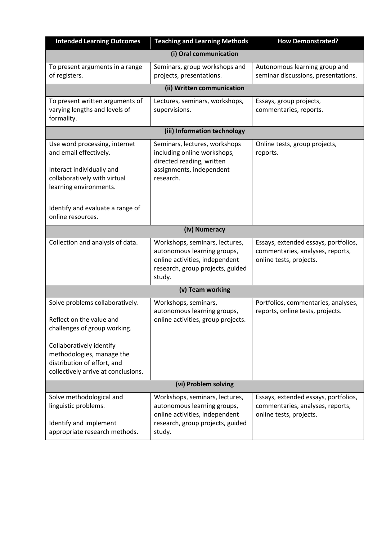| <b>Intended Learning Outcomes</b>                                                                                                                                                                                          | <b>Teaching and Learning Methods</b>                                                                                                          | <b>How Demonstrated?</b>                                                                            |  |  |
|----------------------------------------------------------------------------------------------------------------------------------------------------------------------------------------------------------------------------|-----------------------------------------------------------------------------------------------------------------------------------------------|-----------------------------------------------------------------------------------------------------|--|--|
|                                                                                                                                                                                                                            | (i) Oral communication                                                                                                                        |                                                                                                     |  |  |
| To present arguments in a range<br>of registers.                                                                                                                                                                           | Seminars, group workshops and<br>projects, presentations.                                                                                     | Autonomous learning group and<br>seminar discussions, presentations.                                |  |  |
|                                                                                                                                                                                                                            | (ii) Written communication                                                                                                                    |                                                                                                     |  |  |
| To present written arguments of<br>varying lengths and levels of<br>formality.                                                                                                                                             | Lectures, seminars, workshops,<br>supervisions.                                                                                               | Essays, group projects,<br>commentaries, reports.                                                   |  |  |
|                                                                                                                                                                                                                            | (iii) Information technology                                                                                                                  |                                                                                                     |  |  |
| Use word processing, internet<br>and email effectively.<br>Interact individually and<br>collaboratively with virtual<br>learning environments.<br>Identify and evaluate a range of                                         | Seminars, lectures, workshops<br>including online workshops,<br>directed reading, written<br>assignments, independent<br>research.            | Online tests, group projects,<br>reports.                                                           |  |  |
| online resources.                                                                                                                                                                                                          |                                                                                                                                               |                                                                                                     |  |  |
|                                                                                                                                                                                                                            | (iv) Numeracy                                                                                                                                 |                                                                                                     |  |  |
| Collection and analysis of data.                                                                                                                                                                                           | Workshops, seminars, lectures,<br>autonomous learning groups,<br>online activities, independent<br>research, group projects, guided<br>study. | Essays, extended essays, portfolios,<br>commentaries, analyses, reports,<br>online tests, projects. |  |  |
|                                                                                                                                                                                                                            | (v) Team working                                                                                                                              |                                                                                                     |  |  |
| Solve problems collaboratively.<br>Reflect on the value and<br>challenges of group working.<br>Collaboratively identify<br>methodologies, manage the<br>distribution of effort, and<br>collectively arrive at conclusions. | Workshops, seminars,<br>autonomous learning groups,<br>online activities, group projects.                                                     | Portfolios, commentaries, analyses,<br>reports, online tests, projects.                             |  |  |
| (vi) Problem solving                                                                                                                                                                                                       |                                                                                                                                               |                                                                                                     |  |  |
| Solve methodological and<br>linguistic problems.<br>Identify and implement<br>appropriate research methods.                                                                                                                | Workshops, seminars, lectures,<br>autonomous learning groups,<br>online activities, independent<br>research, group projects, guided<br>study. | Essays, extended essays, portfolios,<br>commentaries, analyses, reports,<br>online tests, projects. |  |  |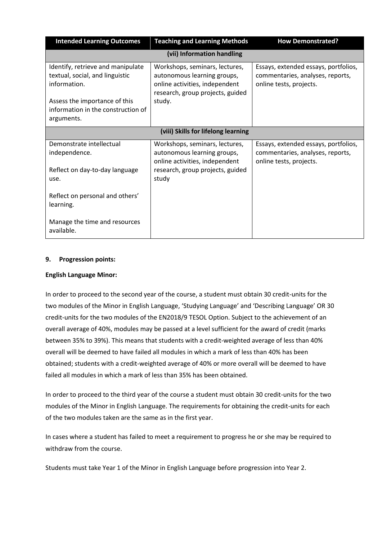| <b>Intended Learning Outcomes</b>                                                                                                                           | <b>Teaching and Learning Methods</b>                                                                                                          | <b>How Demonstrated?</b>                                                                            |  |  |
|-------------------------------------------------------------------------------------------------------------------------------------------------------------|-----------------------------------------------------------------------------------------------------------------------------------------------|-----------------------------------------------------------------------------------------------------|--|--|
| (vii) Information handling                                                                                                                                  |                                                                                                                                               |                                                                                                     |  |  |
| Identify, retrieve and manipulate<br>textual, social, and linguistic<br>information.<br>Assess the importance of this<br>information in the construction of | Workshops, seminars, lectures,<br>autonomous learning groups,<br>online activities, independent<br>research, group projects, guided<br>study. | Essays, extended essays, portfolios,<br>commentaries, analyses, reports,<br>online tests, projects. |  |  |
| arguments.                                                                                                                                                  |                                                                                                                                               |                                                                                                     |  |  |
|                                                                                                                                                             | (viii) Skills for lifelong learning                                                                                                           |                                                                                                     |  |  |
| Demonstrate intellectual<br>independence.                                                                                                                   | Workshops, seminars, lectures,<br>autonomous learning groups,<br>online activities, independent                                               | Essays, extended essays, portfolios,<br>commentaries, analyses, reports,<br>online tests, projects. |  |  |
| Reflect on day-to-day language<br>use.                                                                                                                      | research, group projects, guided<br>study                                                                                                     |                                                                                                     |  |  |
| Reflect on personal and others'<br>learning.                                                                                                                |                                                                                                                                               |                                                                                                     |  |  |
| Manage the time and resources<br>available.                                                                                                                 |                                                                                                                                               |                                                                                                     |  |  |

## **9. Progression points:**

#### **English Language Minor:**

In order to proceed to the second year of the course, a student must obtain 30 credit-units for the two modules of the Minor in English Language, 'Studying Language' and 'Describing Language' OR 30 credit-units for the two modules of the EN2018/9 TESOL Option. Subject to the achievement of an overall average of 40%, modules may be passed at a level sufficient for the award of credit (marks between 35% to 39%). This means that students with a credit-weighted average of less than 40% overall will be deemed to have failed all modules in which a mark of less than 40% has been obtained; students with a credit-weighted average of 40% or more overall will be deemed to have failed all modules in which a mark of less than 35% has been obtained.

In order to proceed to the third year of the course a student must obtain 30 credit-units for the two modules of the Minor in English Language. The requirements for obtaining the credit-units for each of the two modules taken are the same as in the first year.

In cases where a student has failed to meet a requirement to progress he or she may be required to withdraw from the course.

Students must take Year 1 of the Minor in English Language before progression into Year 2.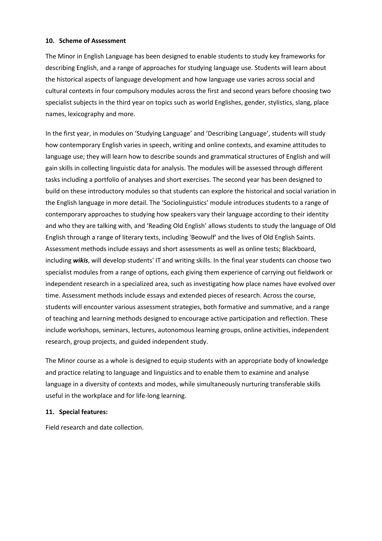#### **10. Scheme of Assessment**

The Minor in English Language has been designed to enable students to study key frameworks for describing English, and a range of approaches for studying language use. Students will learn about the historical aspects of language development and how language use varies across social and cultural contexts in four compulsory modules across the first and second years before choosing two specialist subjects in the third year on topics such as world Englishes, gender, stylistics, slang, place names, lexicography and more.

In the first year, in modules on 'Studying Language' and 'Describing Language', students will study how contemporary English varies in speech, writing and online contexts, and examine attitudes to language use; they will learn how to describe sounds and grammatical structures of English and will gain skills in collecting linguistic data for analysis. The modules will be assessed through different tasks including a portfolio of analyses and short exercises. The second year has been designed to build on these introductory modules so that students can explore the historical and social variation in the English language in more detail. The 'Sociolinguistics' module introduces students to a range of contemporary approaches to studying how speakers vary their language according to their identity and who they are talking with, and 'Reading Old English' allows students to study the language of Old English through a range of literary texts, including 'Beowulf' and the lives of Old English Saints. Assessment methods include essays and short assessments as well as online tests; Blackboard, including *wikis*, will develop students' IT and writing skills. In the final year students can choose two specialist modules from a range of options, each giving them experience of carrying out fieldwork or independent research in a specialized area, such as investigating how place names have evolved over time. Assessment methods include essays and extended pieces of research. Across the course, students will encounter various assessment strategies, both formative and summative, and a range of teaching and learning methods designed to encourage active participation and reflection. These include workshops, seminars, lectures, autonomous learning groups, online activities, independent research, group projects, and guided independent study.

The Minor course as a whole is designed to equip students with an appropriate body of knowledge and practice relating to language and linguistics and to enable them to examine and analyse language in a diversity of contexts and modes, while simultaneously nurturing transferable skills useful in the workplace and for life-long learning.

#### **11. Special features:**

Field research and date collection.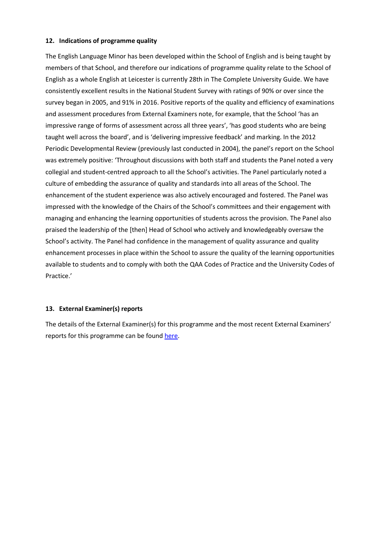### **12. Indications of programme quality**

The English Language Minor has been developed within the School of English and is being taught by members of that School, and therefore our indications of programme quality relate to the School of English as a whole English at Leicester is currently 28th in The Complete University Guide. We have consistently excellent results in the National Student Survey with ratings of 90% or over since the survey began in 2005, and 91% in 2016. Positive reports of the quality and efficiency of examinations and assessment procedures from External Examiners note, for example, that the School 'has an impressive range of forms of assessment across all three years', 'has good students who are being taught well across the board', and is 'delivering impressive feedback' and marking. In the 2012 Periodic Developmental Review (previously last conducted in 2004), the panel's report on the School was extremely positive: 'Throughout discussions with both staff and students the Panel noted a very collegial and student-centred approach to all the School's activities. The Panel particularly noted a culture of embedding the assurance of quality and standards into all areas of the School. The enhancement of the student experience was also actively encouraged and fostered. The Panel was impressed with the knowledge of the Chairs of the School's committees and their engagement with managing and enhancing the learning opportunities of students across the provision. The Panel also praised the leadership of the [then] Head of School who actively and knowledgeably oversaw the School's activity. The Panel had confidence in the management of quality assurance and quality enhancement processes in place within the School to assure the quality of the learning opportunities available to students and to comply with both the QAA Codes of Practice and the University Codes of Practice.'

## **13. External Examiner(s) reports**

The details of the External Examiner(s) for this programme and the most recent External Examiners' reports for this programme can be foun[d here.](https://exampapers.le.ac.uk/xmlui/)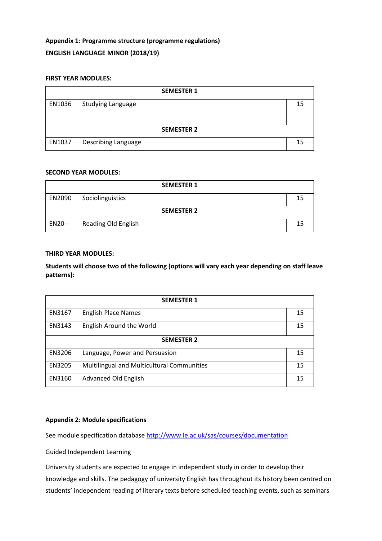# **Appendix 1: Programme structure (programme regulations) ENGLISH LANGUAGE MINOR (2018/19)**

### **FIRST YEAR MODULES:**

| <b>SEMESTER 1</b> |                            |    |
|-------------------|----------------------------|----|
| EN1036            | <b>Studying Language</b>   | 15 |
|                   |                            |    |
| <b>SEMESTER 2</b> |                            |    |
| EN1037            | <b>Describing Language</b> | 15 |

#### **SECOND YEAR MODULES:**

|                   | <b>SEMESTER 1</b>          |    |
|-------------------|----------------------------|----|
| EN2090            | Sociolinguistics           | 15 |
| <b>SEMESTER 2</b> |                            |    |
| EN20--            | <b>Reading Old English</b> | 15 |

#### **THIRD YEAR MODULES:**

**Students will choose two of the following (options will vary each year depending on staff leave patterns):**

| <b>SEMESTER 1</b> |                                            |    |
|-------------------|--------------------------------------------|----|
| EN3167            | <b>English Place Names</b>                 | 15 |
| EN3143            | English Around the World                   | 15 |
| <b>SEMESTER 2</b> |                                            |    |
| EN3206            | Language, Power and Persuasion             | 15 |
| EN3205            | Multilingual and Multicultural Communities | 15 |
| EN3160            | Advanced Old English                       | 15 |

### **Appendix 2: Module specifications**

See module specification database <http://www.le.ac.uk/sas/courses/documentation>

# Guided Independent Learning

University students are expected to engage in independent study in order to develop their knowledge and skills. The pedagogy of university English has throughout its history been centred on students' independent reading of literary texts before scheduled teaching events, such as seminars